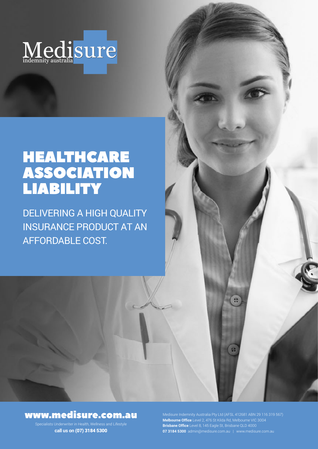

# HEALTHCARE ASSOCIATION LIABILITY

DELIVERING A HIGH QUALITY INSURANCE PRODUCT AT AN AFFORDABLE COST.

## www.medisure.com.au

Specialists Underwriter in Health, Wellness and Lifestyle **call us on** (07) 3184 5300

**Melbourne Office** Level 2, 476 St Kilda Rd, Melbourne VIC 3004 **Brisbane Office** Level 8, 145 Eagle St, Brisbane QLD 4000 **07 3184 5300** admin@medisure.com.au | www.medisure.com.au